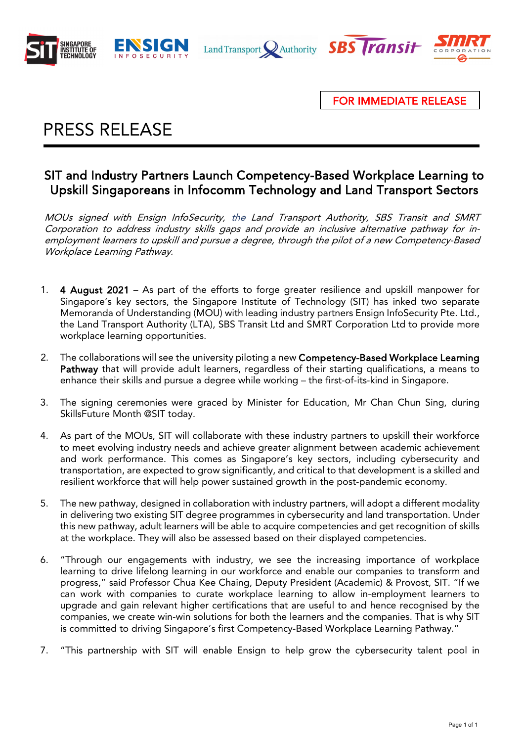







FOR IMMEDIATE RELEASE

### ŗ PRESS RELEASE

# SIT and Industry Partners Launch Competency-Based Workplace Learning to Upskill Singaporeans in Infocomm Technology and Land Transport Sectors

MOUs signed with Ensign InfoSecurity, the Land Transport Authority, SBS Transit and SMRT Corporation to address industry skills gaps and provide an inclusive alternative pathway for inemployment learners to upskill and pursue a degree, through the pilot of a new Competency-Based Workplace Learning Pathway.

- 1. 4 August 2021 As part of the efforts to forge greater resilience and upskill manpower for Singapore's key sectors, the Singapore Institute of Technology (SIT) has inked two separate Memoranda of Understanding (MOU) with leading industry partners Ensign InfoSecurity Pte. Ltd., the Land Transport Authority (LTA), SBS Transit Ltd and SMRT Corporation Ltd to provide more workplace learning opportunities.
- 2. The collaborations will see the university piloting a new Competency-Based Workplace Learning Pathway that will provide adult learners, regardless of their starting qualifications, a means to enhance their skills and pursue a degree while working – the first-of-its-kind in Singapore.
- 3. The signing ceremonies were graced by Minister for Education, Mr Chan Chun Sing, during SkillsFuture Month @SIT today.
- 4. As part of the MOUs, SIT will collaborate with these industry partners to upskill their workforce to meet evolving industry needs and achieve greater alignment between academic achievement and work performance. This comes as Singapore's key sectors, including cybersecurity and transportation, are expected to grow significantly, and critical to that development is a skilled and resilient workforce that will help power sustained growth in the post-pandemic economy.
- 5. The new pathway, designed in collaboration with industry partners, will adopt a different modality in delivering two existing SIT degree programmes in cybersecurity and land transportation. Under this new pathway, adult learners will be able to acquire competencies and get recognition of skills at the workplace. They will also be assessed based on their displayed competencies.
- 6. "Through our engagements with industry, we see the increasing importance of workplace learning to drive lifelong learning in our workforce and enable our companies to transform and progress," said Professor Chua Kee Chaing, Deputy President (Academic) & Provost, SIT. "If we can work with companies to curate workplace learning to allow in-employment learners to upgrade and gain relevant higher certifications that are useful to and hence recognised by the companies, we create win-win solutions for both the learners and the companies. That is why SIT is committed to driving Singapore's first Competency-Based Workplace Learning Pathway."
- 7. "This partnership with SIT will enable Ensign to help grow the cybersecurity talent pool in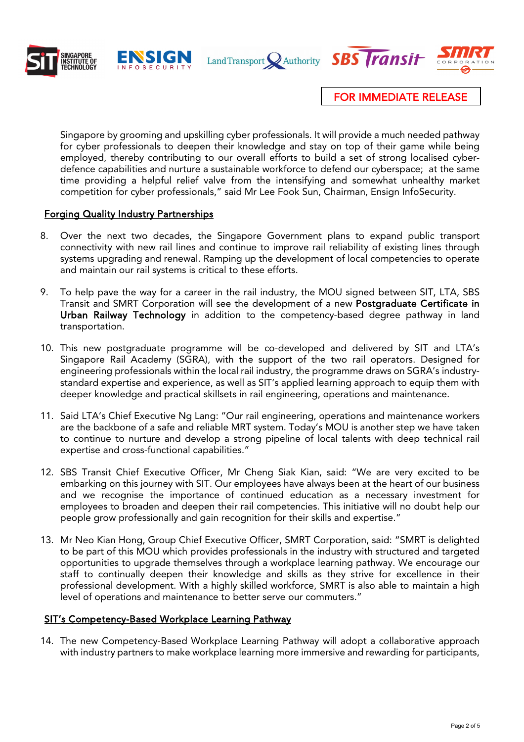



Land Transport Nauthority **SBS Transit** 



FOR IMMEDIATE RELEASE

Singapore by grooming and upskilling cyber professionals. It will provide a much needed pathway for cyber professionals to deepen their knowledge and stay on top of their game while being employed, thereby contributing to our overall efforts to build a set of strong localised cyberdefence capabilities and nurture a sustainable workforce to defend our cyberspace; at the same time providing a helpful relief valve from the intensifying and somewhat unhealthy market competition for cyber professionals," said Mr Lee Fook Sun, Chairman, Ensign InfoSecurity.

# Forging Quality Industry Partnerships

- 8. Over the next two decades, the Singapore Government plans to expand public transport connectivity with new rail lines and continue to improve rail reliability of existing lines through systems upgrading and renewal. Ramping up the development of local competencies to operate and maintain our rail systems is critical to these efforts.
- 9. To help pave the way for a career in the rail industry, the MOU signed between SIT, LTA, SBS Transit and SMRT Corporation will see the development of a new Postgraduate Certificate in Urban Railway Technology in addition to the competency-based degree pathway in land transportation.
- 10. This new postgraduate programme will be co-developed and delivered by SIT and LTA's Singapore Rail Academy (SGRA), with the support of the two rail operators. Designed for engineering professionals within the local rail industry, the programme draws on SGRA's industrystandard expertise and experience, as well as SIT's applied learning approach to equip them with deeper knowledge and practical skillsets in rail engineering, operations and maintenance.
- 11. Said LTA's Chief Executive Ng Lang: "Our rail engineering, operations and maintenance workers are the backbone of a safe and reliable MRT system. Today's MOU is another step we have taken to continue to nurture and develop a strong pipeline of local talents with deep technical rail expertise and cross-functional capabilities."
- 12. SBS Transit Chief Executive Officer, Mr Cheng Siak Kian, said: "We are very excited to be embarking on this journey with SIT. Our employees have always been at the heart of our business and we recognise the importance of continued education as a necessary investment for employees to broaden and deepen their rail competencies. This initiative will no doubt help our people grow professionally and gain recognition for their skills and expertise."
- 13. Mr Neo Kian Hong, Group Chief Executive Officer, SMRT Corporation, said: "SMRT is delighted to be part of this MOU which provides professionals in the industry with structured and targeted opportunities to upgrade themselves through a workplace learning pathway. We encourage our staff to continually deepen their knowledge and skills as they strive for excellence in their professional development. With a highly skilled workforce, SMRT is also able to maintain a high level of operations and maintenance to better serve our commuters."

### SIT's Competency-Based Workplace Learning Pathway

14. The new Competency-Based Workplace Learning Pathway will adopt a collaborative approach with industry partners to make workplace learning more immersive and rewarding for participants,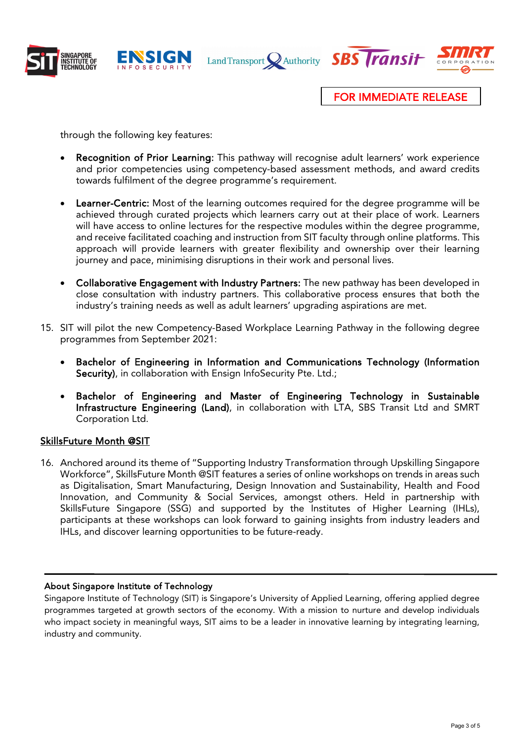







FOR IMMEDIATE RELEASE

through the following key features:

- Recognition of Prior Learning: This pathway will recognise adult learners' work experience and prior competencies using competency-based assessment methods, and award credits towards fulfilment of the degree programme's requirement.
- Learner-Centric: Most of the learning outcomes required for the degree programme will be achieved through curated projects which learners carry out at their place of work. Learners will have access to online lectures for the respective modules within the degree programme, and receive facilitated coaching and instruction from SIT faculty through online platforms. This approach will provide learners with greater flexibility and ownership over their learning journey and pace, minimising disruptions in their work and personal lives.
- Collaborative Engagement with Industry Partners: The new pathway has been developed in close consultation with industry partners. This collaborative process ensures that both the industry's training needs as well as adult learners' upgrading aspirations are met.
- 15. SIT will pilot the new Competency-Based Workplace Learning Pathway in the following degree programmes from September 2021:
	- Bachelor of Engineering in Information and Communications Technology (Information Security), in collaboration with Ensign InfoSecurity Pte. Ltd.;
	- Bachelor of Engineering and Master of Engineering Technology in Sustainable Infrastructure Engineering (Land), in collaboration with LTA, SBS Transit Ltd and SMRT Corporation Ltd.

### SkillsFuture Month @SIT

16. Anchored around its theme of "Supporting Industry Transformation through Upskilling Singapore Workforce", SkillsFuture Month @SIT features a series of online workshops on trends in areas such as Digitalisation, Smart Manufacturing, Design Innovation and Sustainability, Health and Food Innovation, and Community & Social Services, amongst others. Held in partnership with SkillsFuture Singapore (SSG) and supported by the Institutes of Higher Learning (IHLs), participants at these workshops can look forward to gaining insights from industry leaders and IHLs, and discover learning opportunities to be future-ready.

#### ֺ About Singapore Institute of Technology

Singapore Institute of Technology (SIT) is Singapore's University of Applied Learning, offering applied degree programmes targeted at growth sectors of the economy. With a mission to nurture and develop individuals who impact society in meaningful ways, SIT aims to be a leader in innovative learning by integrating learning, industry and community.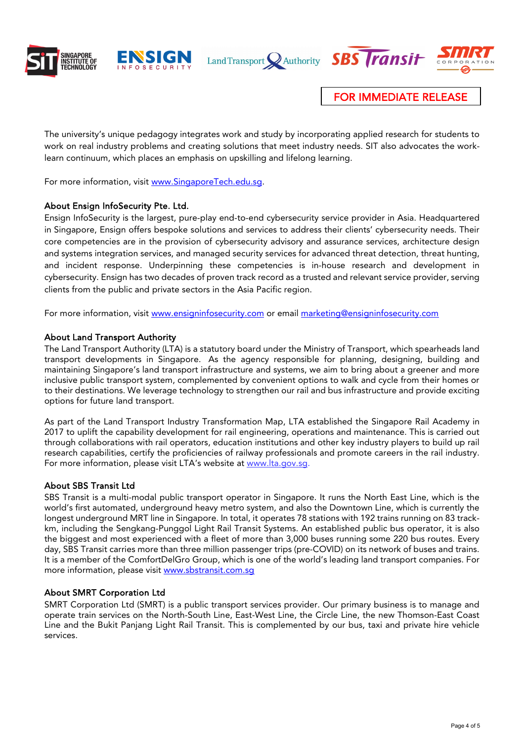



Land Transport Nauthority **SBS Transit** 



FOR IMMEDIATE RELEASE

The university's unique pedagogy integrates work and study by incorporating applied research for students to work on real industry problems and creating solutions that meet industry needs. SIT also advocates the worklearn continuum, which places an emphasis on upskilling and lifelong learning.

For more information, visit [www.SingaporeTech.edu.sg.](http://www.singaporetech.edu.sg/)

#### About Ensign InfoSecurity Pte. Ltd.

Ensign InfoSecurity is the largest, pure-play end-to-end cybersecurity service provider in Asia. Headquartered in Singapore, Ensign offers bespoke solutions and services to address their clients' cybersecurity needs. Their core competencies are in the provision of cybersecurity advisory and assurance services, architecture design and systems integration services, and managed security services for advanced threat detection, threat hunting, and incident response. Underpinning these competencies is in-house research and development in cybersecurity. Ensign has two decades of proven track record as a trusted and relevant service provider, serving clients from the public and private sectors in the Asia Pacific region.

For more information, visit www.ensigninfosecurity.com or email marketing@ensigninfosecurity.com

#### About Land Transport Authority

The Land Transport Authority (LTA) is a statutory board under the Ministry of Transport, which spearheads land transport developments in Singapore. As the agency responsible for planning, designing, building and maintaining Singapore's land transport infrastructure and systems, we aim to bring about a greener and more inclusive public transport system, complemented by convenient options to walk and cycle from their homes or to their destinations. We leverage technology to strengthen our rail and bus infrastructure and provide exciting options for future land transport.

As part of the Land Transport Industry Transformation Map, LTA established the Singapore Rail Academy in 2017 to uplift the capability development for rail engineering, operations and maintenance. This is carried out through collaborations with rail operators, education institutions and other key industry players to build up rail research capabilities, certify the proficiencies of railway professionals and promote careers in the rail industry. For more information, please visit LTA's website at [www.lta.gov.sg.](http://www.lta.gov.sg/)

#### About SBS Transit Ltd

SBS Transit is a multi-modal public transport operator in Singapore. It runs the North East Line, which is the world's first automated, underground heavy metro system, and also the Downtown Line, which is currently the longest underground MRT line in Singapore. In total, it operates 78 stations with 192 trains running on 83 trackkm, including the Sengkang-Punggol Light Rail Transit Systems. An established public bus operator, it is also the biggest and most experienced with a fleet of more than 3,000 buses running some 220 bus routes. Every day, SBS Transit carries more than three million passenger trips (pre-COVID) on its network of buses and trains. It is a member of the ComfortDelGro Group, which is one of the world's leading land transport companies. For more information, please visit [www.sbstransit.com.sg](http://www.sbstransit.com.sg/)

#### About SMRT Corporation Ltd

SMRT Corporation Ltd (SMRT) is a public transport services provider. Our primary business is to manage and operate train services on the North-South Line, East-West Line, the Circle Line, the new Thomson-East Coast Line and the Bukit Panjang Light Rail Transit. This is complemented by our bus, taxi and private hire vehicle services.